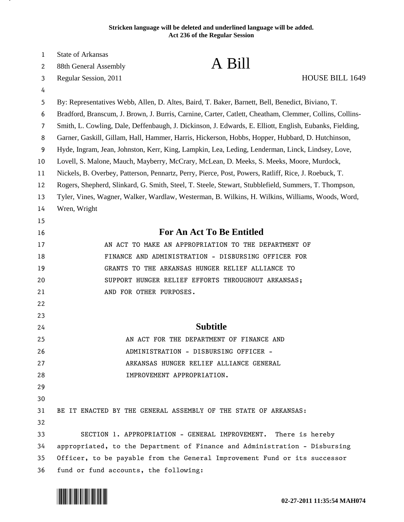## **Stricken language will be deleted and underlined language will be added. Act 236 of the Regular Session**

| 1  | <b>State of Arkansas</b>                                                                                |
|----|---------------------------------------------------------------------------------------------------------|
| 2  | A Bill<br>88th General Assembly                                                                         |
| 3  | HOUSE BILL 1649<br>Regular Session, 2011                                                                |
| 4  |                                                                                                         |
| 5  | By: Representatives Webb, Allen, D. Altes, Baird, T. Baker, Barnett, Bell, Benedict, Biviano, T.        |
| 6  | Bradford, Branscum, J. Brown, J. Burris, Carnine, Carter, Catlett, Cheatham, Clemmer, Collins, Collins- |
| 7  | Smith, L. Cowling, Dale, Deffenbaugh, J. Dickinson, J. Edwards, E. Elliott, English, Eubanks, Fielding, |
| 8  | Garner, Gaskill, Gillam, Hall, Hammer, Harris, Hickerson, Hobbs, Hopper, Hubbard, D. Hutchinson,        |
| 9  | Hyde, Ingram, Jean, Johnston, Kerr, King, Lampkin, Lea, Leding, Lenderman, Linck, Lindsey, Love,        |
| 10 | Lovell, S. Malone, Mauch, Mayberry, McCrary, McLean, D. Meeks, S. Meeks, Moore, Murdock,                |
| 11 | Nickels, B. Overbey, Patterson, Pennartz, Perry, Pierce, Post, Powers, Ratliff, Rice, J. Roebuck, T.    |
| 12 | Rogers, Shepherd, Slinkard, G. Smith, Steel, T. Steele, Stewart, Stubblefield, Summers, T. Thompson,    |
| 13 | Tyler, Vines, Wagner, Walker, Wardlaw, Westerman, B. Wilkins, H. Wilkins, Williams, Woods, Word,        |
| 14 | Wren, Wright                                                                                            |
| 15 |                                                                                                         |
| 16 | <b>For An Act To Be Entitled</b>                                                                        |
| 17 | AN ACT TO MAKE AN APPROPRIATION TO THE DEPARTMENT OF                                                    |
| 18 | FINANCE AND ADMINISTRATION - DISBURSING OFFICER FOR                                                     |
| 19 | GRANTS TO THE ARKANSAS HUNGER RELIEF ALLIANCE TO                                                        |
| 20 | SUPPORT HUNGER RELIEF EFFORTS THROUGHOUT ARKANSAS;                                                      |
| 21 | AND FOR OTHER PURPOSES.                                                                                 |
| 22 |                                                                                                         |
| 23 |                                                                                                         |
| 24 | <b>Subtitle</b>                                                                                         |
| 25 | AN ACT FOR THE DEPARTMENT OF FINANCE AND                                                                |
| 26 | ADMINISTRATION - DISBURSING OFFICER -                                                                   |
| 27 | ARKANSAS HUNGER RELIEF ALLIANCE GENERAL                                                                 |
| 28 | IMPROVEMENT APPROPRIATION.                                                                              |
| 29 |                                                                                                         |
| 30 |                                                                                                         |
| 31 | BE IT ENACTED BY THE GENERAL ASSEMBLY OF THE STATE OF ARKANSAS:                                         |
| 32 |                                                                                                         |
| 33 | SECTION 1. APPROPRIATION - GENERAL IMPROVEMENT.<br>There is hereby                                      |
| 34 | appropriated, to the Department of Finance and Administration - Disbursing                              |
| 35 | Officer, to be payable from the General Improvement Fund or its successor                               |
| 36 | fund or fund accounts, the following:                                                                   |



.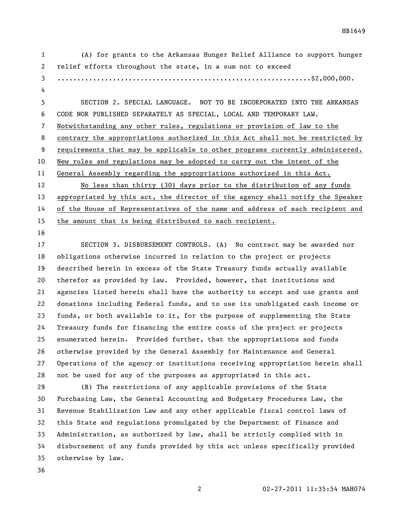(A) for grants to the Arkansas Hunger Relief Alliance to support hunger relief efforts throughout the state, in a sum not to exceed ................................................................\$2,000,000. SECTION 2. SPECIAL LANGUAGE. NOT TO BE INCORPORATED INTO THE ARKANSAS CODE NOR PUBLISHED SEPARATELY AS SPECIAL, LOCAL AND TEMPORARY LAW. Notwithstanding any other rules, regulations or provision of law to the contrary the appropriations authorized in this Act shall not be restricted by 9 requirements that may be applicable to other programs currently administered. New rules and regulations may be adopted to carry out the intent of the General Assembly regarding the appropriations authorized in this Act. No less than thirty (30) days prior to the distribution of any funds appropriated by this act, the director of the agency shall notify the Speaker of the House of Representatives of the name and address of each recipient and the amount that is being distributed to each recipient. SECTION 3. DISBURSEMENT CONTROLS. (A) No contract may be awarded nor obligations otherwise incurred in relation to the project or projects described herein in excess of the State Treasury funds actually available therefor as provided by law. Provided, however, that institutions and agencies listed herein shall have the authority to accept and use grants and

 donations including Federal funds, and to use its unobligated cash income or funds, or both available to it, for the purpose of supplementing the State Treasury funds for financing the entire costs of the project or projects enumerated herein. Provided further, that the appropriations and funds otherwise provided by the General Assembly for Maintenance and General Operations of the agency or institutions receiving appropriation herein shall not be used for any of the purposes as appropriated in this act.

 (B) The restrictions of any applicable provisions of the State Purchasing Law, the General Accounting and Budgetary Procedures Law, the Revenue Stabilization Law and any other applicable fiscal control laws of this State and regulations promulgated by the Department of Finance and Administration, as authorized by law, shall be strictly complied with in disbursement of any funds provided by this act unless specifically provided otherwise by law.